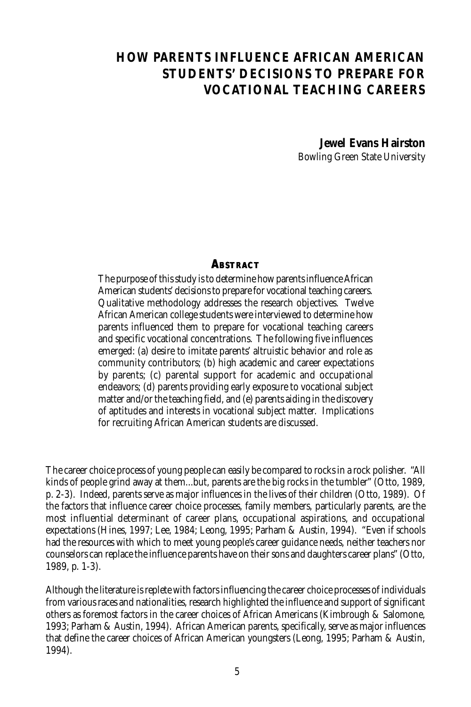# **HOW PARENTS INFLUENCE AFRICAN AMERICAN STUDENTS' DECISIONS TO PREPARE FOR VOCATIONAL TEACHING CAREERS**

**Jewel Evans Hairston** Bowling Green State University

#### **ABSTRACT**

The purpose of this study is to determine how parents influence African American students' decisions to prepare for vocational teaching careers. Qualitative methodology addresses the research objectives. Twelve African American college students were interviewed to determine how parents influenced them to prepare for vocational teaching careers and specific vocational concentrations. The following five influences emerged: (a) desire to imitate parents' altruistic behavior and role as community contributors; (b) high academic and career expectations by parents; (c) parental support for academic and occupational endeavors; (d) parents providing early exposure to vocational subject matter and/or the teaching field, and (e) parents aiding in the discovery of aptitudes and interests in vocational subject matter. Implications for recruiting African American students are discussed.

The career choice process of young people can easily be compared to rocks in a rock polisher. "All kinds of people grind away at them...but, parents are the big rocks in the tumbler" (Otto, 1989, p. 2-3). Indeed, parents serve as major influences in the lives of their children (Otto, 1989). Of the factors that influence career choice processes, family members, particularly parents, are the most influential determinant of career plans, occupational aspirations, and occupational expectations (Hines, 1997; Lee, 1984; Leong, 1995; Parham & Austin, 1994). "Even if schools had the resources with which to meet young people's career guidance needs, neither teachers nor counselors can replace the influence parents have on their sons and daughters career plans" (Otto, 1989, p. 1-3).

Although the literature is replete with factors influencing the career choice processes of individuals from various races and nationalities, research highlighted the influence and support of significant others as foremost factors in the career choices of African Americans (Kimbrough & Salomone, 1993; Parham & Austin, 1994). African American parents, specifically, serve as major influences that define the career choices of African American youngsters (Leong, 1995; Parham & Austin, 1994).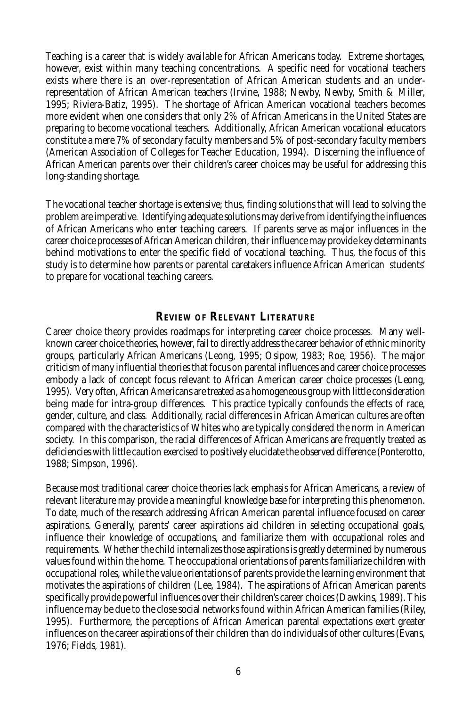Teaching is a career that is widely available for African Americans today. Extreme shortages, however, exist within many teaching concentrations. A specific need for vocational teachers exists where there is an over-representation of African American students and an underrepresentation of African American teachers (Irvine, 1988; Newby, Newby, Smith & Miller, 1995; Riviera-Batiz, 1995). The shortage of African American vocational teachers becomes more evident when one considers that only 2% of African Americans in the United States are preparing to become vocational teachers. Additionally, African American vocational educators constitute a mere 7% of secondary faculty members and 5% of post-secondary faculty members (American Association of Colleges for Teacher Education, 1994). Discerning the influence of African American parents over their children's career choices may be useful for addressing this long-standing shortage.

The vocational teacher shortage is extensive; thus, finding solutions that will lead to solving the problem are imperative. Identifying adequate solutions may derive from identifying the influences of African Americans who enter teaching careers. If parents serve as major influences in the career choice processes of African American children, their influence may provide key determinants behind motivations to enter the specific field of vocational teaching. Thus, the focus of this study is to determine how parents or parental caretakers influence African American students' to prepare for vocational teaching careers.

#### **REVIEW OF RELEVANT LITERATURE**

Career choice theory provides roadmaps for interpreting career choice processes. Many wellknown career choice theories, however, fail to directly address the career behavior of ethnic minority groups, particularly African Americans (Leong, 1995; Osipow, 1983; Roe, 1956). The major criticism of many influential theories that focus on parental influences and career choice processes embody a lack of concept focus relevant to African American career choice processes (Leong, 1995). Very often, African Americans are treated as a homogeneous group with little consideration being made for intra-group differences. This practice typically confounds the effects of race, gender, culture, and class. Additionally, racial differences in African American cultures are often compared with the characteristics of Whites who are typically considered the norm in American society. In this comparison, the racial differences of African Americans are frequently treated as deficiencies with little caution exercised to positively elucidate the observed difference (Ponterotto, 1988; Simpson, 1996).

Because most traditional career choice theories lack emphasis for African Americans, a review of relevant literature may provide a meaningful knowledge base for interpreting this phenomenon. To date, much of the research addressing African American parental influence focused on career aspirations. Generally, parents' career aspirations aid children in selecting occupational goals, influence their knowledge of occupations, and familiarize them with occupational roles and requirements. Whether the child internalizes those aspirations is greatly determined by numerous values found within the home. The occupational orientations of parents familiarize children with occupational roles, while the value orientations of parents provide the learning environment that motivates the aspirations of children (Lee, 1984). The aspirations of African American parents specifically provide powerful influences over their children's career choices (Dawkins, 1989). This influence may be due to the close social networks found within African American families (Riley, 1995). Furthermore, the perceptions of African American parental expectations exert greater influences on the career aspirations of their children than do individuals of other cultures (Evans, 1976; Fields, 1981).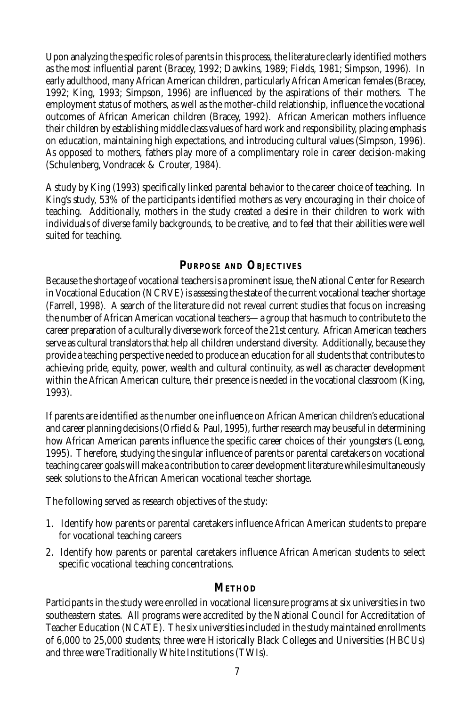Upon analyzing the specific roles of parents in this process, the literature clearly identified mothers as the most influential parent (Bracey, 1992; Dawkins, 1989; Fields, 1981; Simpson, 1996). In early adulthood, many African American children, particularly African American females (Bracey, 1992; King, 1993; Simpson, 1996) are influenced by the aspirations of their mothers. The employment status of mothers, as well as the mother-child relationship, influence the vocational outcomes of African American children (Bracey, 1992). African American mothers influence their children by establishing middle class values of hard work and responsibility, placing emphasis on education, maintaining high expectations, and introducing cultural values (Simpson, 1996). As opposed to mothers, fathers play more of a complimentary role in career decision-making (Schulenberg, Vondracek & Crouter, 1984).

A study by King (1993) specifically linked parental behavior to the career choice of teaching. In King's study, 53% of the participants identified mothers as very encouraging in their choice of teaching. Additionally, mothers in the study created a desire in their children to work with individuals of diverse family backgrounds, to be creative, and to feel that their abilities were well suited for teaching.

### **PURPOSE AND OBJECTIVES**

Because the shortage of vocational teachers is a prominent issue, the National Center for Research in Vocational Education (NCRVE) is assessing the state of the current vocational teacher shortage (Farrell, 1998). A search of the literature did not reveal current studies that focus on increasing the number of African American vocational teachers—a group that has much to contribute to the career preparation of a culturally diverse work force of the 21st century. African American teachers serve as cultural translators that help all children understand diversity. Additionally, because they provide a teaching perspective needed to produce an education for all students that contributes to achieving pride, equity, power, wealth and cultural continuity, as well as character development within the African American culture, their presence is needed in the vocational classroom (King, 1993).

If parents are identified as the number one influence on African American children's educational and career planning decisions (Orfield & Paul, 1995), further research may be useful in determining how African American parents influence the specific career choices of their youngsters (Leong, 1995). Therefore, studying the singular influence of parents or parental caretakers on vocational teaching career goals will make a contribution to career development literature while simultaneously seek solutions to the African American vocational teacher shortage.

The following served as research objectives of the study:

- 1. Identify how parents or parental caretakers influence African American students to prepare for vocational teaching careers
- 2. Identify how parents or parental caretakers influence African American students to select specific vocational teaching concentrations.

#### **METHOD**

Participants in the study were enrolled in vocational licensure programs at six universities in two southeastern states. All programs were accredited by the National Council for Accreditation of Teacher Education (NCATE). The six universities included in the study maintained enrollments of 6,000 to 25,000 students; three were Historically Black Colleges and Universities (HBCUs) and three were Traditionally White Institutions (TWIs).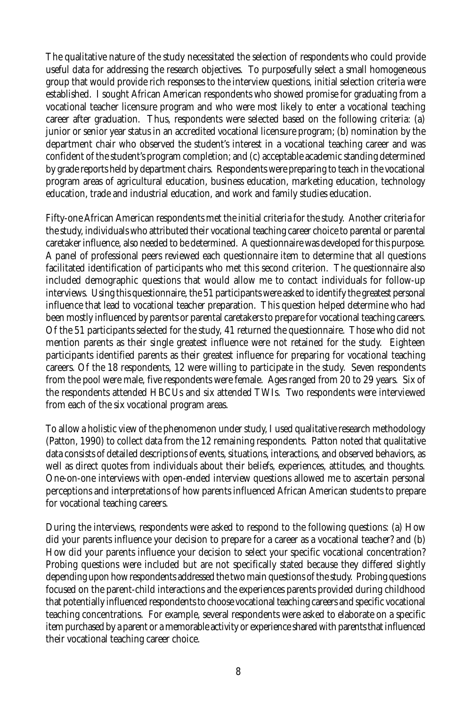The qualitative nature of the study necessitated the selection of respondents who could provide useful data for addressing the research objectives. To purposefully select a small homogeneous group that would provide rich responses to the interview questions, initial selection criteria were established. I sought African American respondents who showed promise for graduating from a vocational teacher licensure program and who were most likely to enter a vocational teaching career after graduation. Thus, respondents were selected based on the following criteria: (a) junior or senior year status in an accredited vocational licensure program; (b) nomination by the department chair who observed the student's interest in a vocational teaching career and was confident of the student's program completion; and (c) acceptable academic standing determined by grade reports held by department chairs. Respondents were preparing to teach in the vocational program areas of agricultural education, business education, marketing education, technology education, trade and industrial education, and work and family studies education.

Fifty-one African American respondents met the initial criteria for the study. Another criteria for the study, individuals who attributed their vocational teaching career choice to parental or parental caretaker influence, also needed to be determined. A questionnaire was developed for this purpose. A panel of professional peers reviewed each questionnaire item to determine that all questions facilitated identification of participants who met this second criterion. The questionnaire also included demographic questions that would allow me to contact individuals for follow-up interviews. Using this questionnaire, the 51 participants were asked to identify the greatest personal influence that lead to vocational teacher preparation. This question helped determine who had been mostly influenced by parents or parental caretakers to prepare for vocational teaching careers. Of the 51 participants selected for the study, 41 returned the questionnaire. Those who did not mention parents as their single greatest influence were not retained for the study. Eighteen participants identified parents as their greatest influence for preparing for vocational teaching careers. Of the 18 respondents, 12 were willing to participate in the study. Seven respondents from the pool were male, five respondents were female. Ages ranged from 20 to 29 years. Six of the respondents attended HBCUs and six attended TWIs. Two respondents were interviewed from each of the six vocational program areas.

To allow a holistic view of the phenomenon under study, I used qualitative research methodology (Patton, 1990) to collect data from the 12 remaining respondents. Patton noted that qualitative data consists of detailed descriptions of events, situations, interactions, and observed behaviors, as well as direct quotes from individuals about their beliefs, experiences, attitudes, and thoughts. One-on-one interviews with open-ended interview questions allowed me to ascertain personal perceptions and interpretations of how parents influenced African American students to prepare for vocational teaching careers.

During the interviews, respondents were asked to respond to the following questions: (a) How did your parents influence your decision to prepare for a career as a vocational teacher? and (b) How did your parents influence your decision to select your specific vocational concentration? Probing questions were included but are not specifically stated because they differed slightly depending upon how respondents addressed the two main questions of the study. Probing questions focused on the parent-child interactions and the experiences parents provided during childhood that potentially influenced respondents to choose vocational teaching careers and specific vocational teaching concentrations. For example, several respondents were asked to elaborate on a specific item purchased by a parent or a memorable activity or experience shared with parents that influenced their vocational teaching career choice.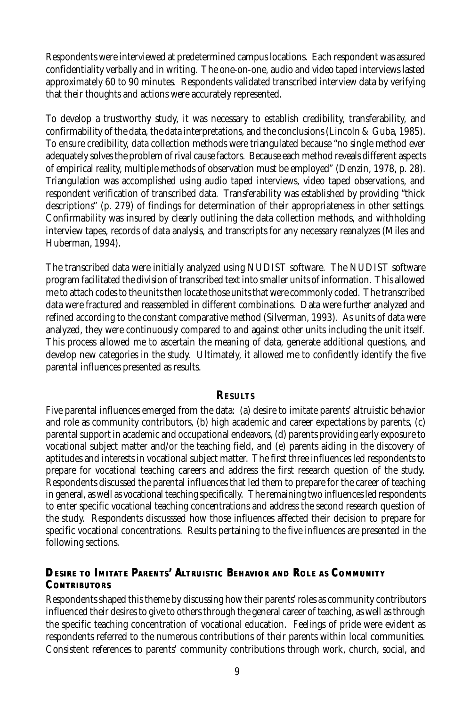Respondents were interviewed at predetermined campus locations. Each respondent was assured confidentiality verbally and in writing. The one-on-one, audio and video taped interviews lasted approximately 60 to 90 minutes. Respondents validated transcribed interview data by verifying that their thoughts and actions were accurately represented.

To develop a trustworthy study, it was necessary to establish credibility, transferability, and confirmability of the data, the data interpretations, and the conclusions (Lincoln & Guba, 1985). To ensure credibility, data collection methods were triangulated because "no single method ever adequately solves the problem of rival cause factors. Because each method reveals different aspects of empirical reality, multiple methods of observation must be employed" (Denzin, 1978, p. 28). Triangulation was accomplished using audio taped interviews, video taped observations, and respondent verification of transcribed data. Transferability was established by providing "thick descriptions" (p. 279) of findings for determination of their appropriateness in other settings. Confirmability was insured by clearly outlining the data collection methods, and withholding interview tapes, records of data analysis, and transcripts for any necessary reanalyzes (Miles and Huberman, 1994).

The transcribed data were initially analyzed using NUDIST software. The NUDIST software program facilitated the division of transcribed text into smaller units of information. This allowed me to attach codes to the units then locate those units that were commonly coded. The transcribed data were fractured and reassembled in different combinations. Data were further analyzed and refined according to the constant comparative method (Silverman, 1993). As units of data were analyzed, they were continuously compared to and against other units including the unit itself. This process allowed me to ascertain the meaning of data, generate additional questions, and develop new categories in the study. Ultimately, it allowed me to confidently identify the five parental influences presented as results.

#### **RESULTS**

Five parental influences emerged from the data: (a) desire to imitate parents' altruistic behavior and role as community contributors, (b) high academic and career expectations by parents, (c) parental support in academic and occupational endeavors, (d) parents providing early exposure to vocational subject matter and/or the teaching field, and (e) parents aiding in the discovery of aptitudes and interests in vocational subject matter. The first three influences led respondents to prepare for vocational teaching careers and address the first research question of the study. Respondents discussed the parental influences that led them to prepare for the career of teaching in general, as well as vocational teaching specifically. The remaining two influences led respondents to enter specific vocational teaching concentrations and address the second research question of the study. Respondents discusssed how those influences affected their decision to prepare for specific vocational concentrations. Results pertaining to the five influences are presented in the following sections.

### **DESIRE TO IMITATE PARENTS' ALTRUISTIC BEHAVIOR AND ROLE AS COMMUNITY CONTRIBUTORS**

Respondents shaped this theme by discussing how their parents' roles as community contributors influenced their desires to give to others through the general career of teaching, as well as through the specific teaching concentration of vocational education. Feelings of pride were evident as respondents referred to the numerous contributions of their parents within local communities. Consistent references to parents' community contributions through work, church, social, and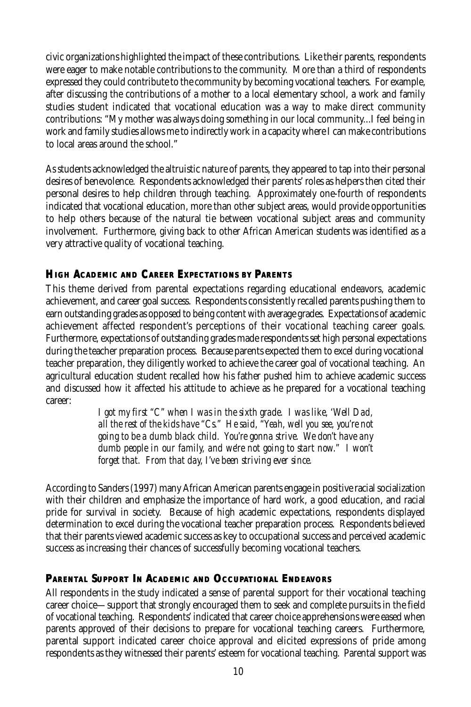civic organizations highlighted the impact of these contributions. Like their parents, respondents were eager to make notable contributions to the community. More than a third of respondents expressed they could contribute to the community by becoming vocational teachers. For example, after discussing the contributions of a mother to a local elementary school, a work and family studies student indicated that vocational education was a way to make direct community contributions: "My mother was always doing something in our local community...I feel being in work and family studies allows me to indirectly work in a capacity where I can make contributions to local areas around the school."

As students acknowledged the altruistic nature of parents, they appeared to tap into their personal desires of benevolence. Respondents acknowledged their parents' roles as helpers then cited their personal desires to help children through teaching. Approximately one-fourth of respondents indicated that vocational education, more than other subject areas, would provide opportunities to help others because of the natural tie between vocational subject areas and community involvement. Furthermore, giving back to other African American students was identified as a very attractive quality of vocational teaching.

## **HIGH ACADEMIC AND CAREER EXPECTATIONS BY PARENTS**

This theme derived from parental expectations regarding educational endeavors, academic achievement, and career goal success. Respondents consistently recalled parents pushing them to earn outstanding grades as opposed to being content with average grades. Expectations of academic achievement affected respondent's perceptions of their vocational teaching career goals. Furthermore, expectations of outstanding grades made respondents set high personal expectations during the teacher preparation process. Because parents expected them to excel during vocational teacher preparation, they diligently worked to achieve the career goal of vocational teaching. An agricultural education student recalled how his father pushed him to achieve academic success and discussed how it affected his attitude to achieve as he prepared for a vocational teaching career:

> *I got my first "C" when I was in the sixth grade. I was like, 'Well Dad, all the rest of the kids have "Cs." He said, "Yeah, well you see, you're not going to be a dumb black child. You're gonna strive. We don't have any dumb people in our family, and we're not going to start now." I won't forget that. From that day, I've been striving ever since.*

According to Sanders (1997) many African American parents engage in positive racial socialization with their children and emphasize the importance of hard work, a good education, and racial pride for survival in society. Because of high academic expectations, respondents displayed determination to excel during the vocational teacher preparation process. Respondents believed that their parents viewed academic success as key to occupational success and perceived academic success as increasing their chances of successfully becoming vocational teachers.

### **PARENTAL SUPPORT IN ACADEMIC AND OCCUPATIONAL ENDEAVORS**

All respondents in the study indicated a sense of parental support for their vocational teaching career choice—support that strongly encouraged them to seek and complete pursuits in the field of vocational teaching. Respondents' indicated that career choice apprehensions were eased when parents approved of their decisions to prepare for vocational teaching careers. Furthermore, parental support indicated career choice approval and elicited expressions of pride among respondents as they witnessed their parents' esteem for vocational teaching. Parental support was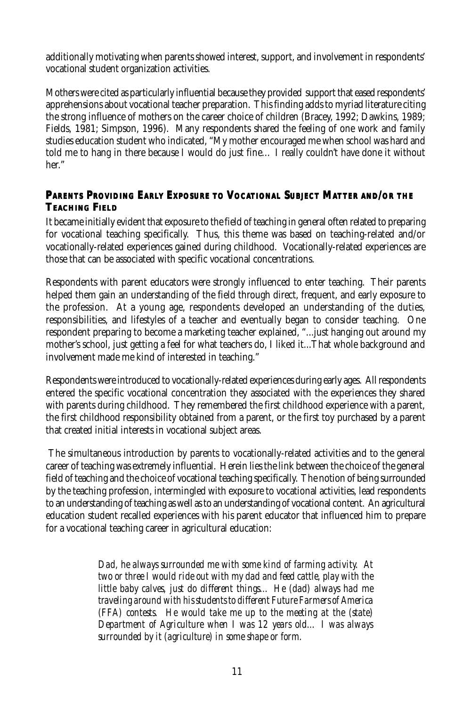additionally motivating when parents showed interest, support, and involvement in respondents' vocational student organization activities.

Mothers were cited as particularly influential because they provided support that eased respondents' apprehensions about vocational teacher preparation. This finding adds to myriad literature citing the strong influence of mothers on the career choice of children (Bracey, 1992; Dawkins, 1989; Fields, 1981; Simpson, 1996). Many respondents shared the feeling of one work and family studies education student who indicated, "My mother encouraged me when school was hard and told me to hang in there because I would do just fine… I really couldn't have done it without her."

### **PARENTS PROVIDING EARLY EXPOSURE TO VOCATIONAL SUBJECT MATTER AND/OR THE TEACHING FIELD**

It became initially evident that exposure to the field of teaching in general often related to preparing for vocational teaching specifically. Thus, this theme was based on teaching-related and/or vocationally-related experiences gained during childhood. Vocationally-related experiences are those that can be associated with specific vocational concentrations.

Respondents with parent educators were strongly influenced to enter teaching. Their parents helped them gain an understanding of the field through direct, frequent, and early exposure to the profession. At a young age, respondents developed an understanding of the duties, responsibilities, and lifestyles of a teacher and eventually began to consider teaching. One respondent preparing to become a marketing teacher explained, "...just hanging out around my mother's school, just getting a feel for what teachers do, I liked it...That whole background and involvement made me kind of interested in teaching."

Respondents were introduced to vocationally-related experiences during early ages. All respondents entered the specific vocational concentration they associated with the experiences they shared with parents during childhood. They remembered the first childhood experience with a parent, the first childhood responsibility obtained from a parent, or the first toy purchased by a parent that created initial interests in vocational subject areas.

 The simultaneous introduction by parents to vocationally-related activities and to the general career of teaching was extremely influential. Herein lies the link between the choice of the general field of teaching and the choice of vocational teaching specifically. The notion of being surrounded by the teaching profession, intermingled with exposure to vocational activities, lead respondents to an understanding of teaching as well as to an understanding of vocational content. An agricultural education student recalled experiences with his parent educator that influenced him to prepare for a vocational teaching career in agricultural education:

> *Dad, he always surrounded me with some kind of farming activity. At two or three I would ride out with my dad and feed cattle, play with the little baby calves, just do different things… He (dad) always had me traveling around with his students to different Future Farmers of America (FFA) contests. He would take me up to the meeting at the (state) Department of Agriculture when I was 12 years old… I was always surrounded by it (agriculture) in some shape or form.*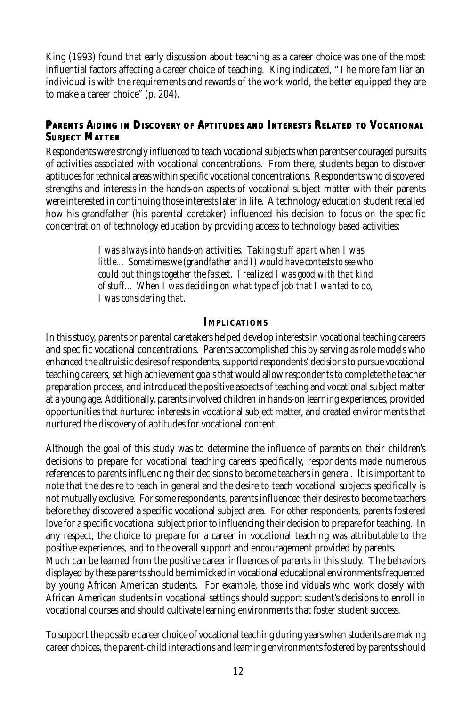King (1993) found that early discussion about teaching as a career choice was one of the most influential factors affecting a career choice of teaching. King indicated, "The more familiar an individual is with the requirements and rewards of the work world, the better equipped they are to make a career choice" (p. 204).

### **PARENTS AIDING IN DISCOVERY OF APTITUDES AND INTERESTS RELATED TO VOCATIONAL SUBJECT MATTER**

Respondents were strongly influenced to teach vocational subjects when parents encouraged pursuits of activities associated with vocational concentrations. From there, students began to discover aptitudes for technical areas within specific vocational concentrations. Respondents who discovered strengths and interests in the hands-on aspects of vocational subject matter with their parents were interested in continuing those interests later in life. A technology education student recalled how his grandfather (his parental caretaker) influenced his decision to focus on the specific concentration of technology education by providing access to technology based activities:

> *I was always into hands-on activities. Taking stuff apart when I was little… Sometimes we (grandfather and I) would have contests to see who could put things together the fastest. I realized I was good with that kind of stuff… When I was deciding on what type of job that I wanted to do, I was considering that.*

#### **IMPLICATIONS**

In this study, parents or parental caretakers helped develop interests in vocational teaching careers and specific vocational concentrations. Parents accomplished this by serving as role models who enhanced the altruistic desires of respondents, supportd respondents' decisions to pursue vocational teaching careers, set high achievement goals that would allow respondents to complete the teacher preparation process, and introduced the positive aspects of teaching and vocational subject matter at a young age. Additionally, parents involved children in hands-on learning experiences, provided opportunities that nurtured interests in vocational subject matter, and created environments that nurtured the discovery of aptitudes for vocational content.

Although the goal of this study was to determine the influence of parents on their children's decisions to prepare for vocational teaching careers specifically, respondents made numerous references to parents influencing their decisions to become teachers in general. It is important to note that the desire to teach in general and the desire to teach vocational subjects specifically is not mutually exclusive. For some respondents, parents influenced their desires to become teachers before they discovered a specific vocational subject area. For other respondents, parents fostered love for a specific vocational subject prior to influencing their decision to prepare for teaching. In any respect, the choice to prepare for a career in vocational teaching was attributable to the positive experiences, and to the overall support and encouragement provided by parents. Much can be learned from the positive career influences of parents in this study. The behaviors displayed by these parents should be mimicked in vocational educational environments frequented by young African American students. For example, those individuals who work closely with African American students in vocational settings should support student's decisions to enroll in

To support the possible career choice of vocational teaching during years when students are making career choices, the parent-child interactions and learning environments fostered by parents should

vocational courses and should cultivate learning environments that foster student success.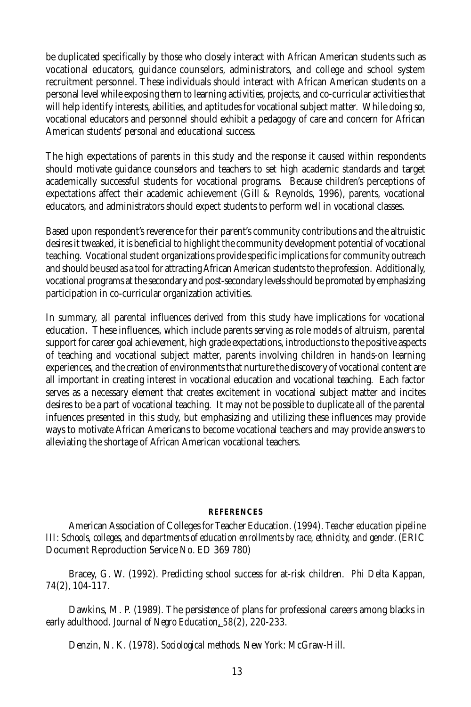be duplicated specifically by those who closely interact with African American students such as vocational educators, guidance counselors, administrators, and college and school system recruitment personnel. These individuals should interact with African American students on a personal level while exposing them to learning activities, projects, and co-curricular activities that will help identify interests, abilities, and aptitudes for vocational subject matter. While doing so, vocational educators and personnel should exhibit a pedagogy of care and concern for African American students' personal and educational success.

The high expectations of parents in this study and the response it caused within respondents should motivate guidance counselors and teachers to set high academic standards and target academically successful students for vocational programs. Because children's perceptions of expectations affect their academic achievement (Gill & Reynolds, 1996), parents, vocational educators, and administrators should expect students to perform well in vocational classes.

Based upon respondent's reverence for their parent's community contributions and the altruistic desires it tweaked, it is beneficial to highlight the community development potential of vocational teaching. Vocational student organizations provide specific implications for community outreach and should be used as a tool for attracting African American students to the profession. Additionally, vocational programs at the secondary and post-secondary levels should be promoted by emphasizing participation in co-curricular organization activities.

In summary, all parental influences derived from this study have implications for vocational education. These influences, which include parents serving as role models of altruism, parental support for career goal achievement, high grade expectations, introductions to the positive aspects of teaching and vocational subject matter, parents involving children in hands-on learning experiences, and the creation of environments that nurture the discovery of vocational content are all important in creating interest in vocational education and vocational teaching. Each factor serves as a necessary element that creates excitement in vocational subject matter and incites desires to be a part of vocational teaching. It may not be possible to duplicate all of the parental infuences presented in this study, but emphasizing and utilizing these influences may provide ways to motivate African Americans to become vocational teachers and may provide answers to alleviating the shortage of African American vocational teachers.

#### **REFERENCES**

American Association of Colleges for Teacher Education. (1994). *Teacher education pipeline III: Schools, colleges, and departments of education enrollments by race, ethnicity, and gender.* (ERIC Document Reproduction Service No. ED 369 780)

Bracey, G. W. (1992). Predicting school success for at-risk children. *Phi Delta Kappan, 74*(2), 104-117.

Dawkins, M. P. (1989). The persistence of plans for professional careers among blacks in early adulthood. *Journal of Negro Education*, *58*(2), 220-233.

Denzin, N. K. (1978). *Sociological methods*. New York: McGraw-Hill.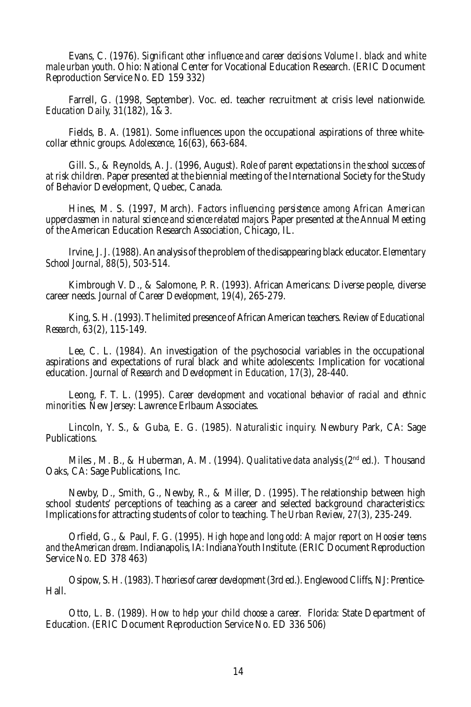Evans, C. (1976). *Significant other influence and career decisions: Volume I. black and white male urban youth*. Ohio: National Center for Vocational Education Research. (ERIC Document Reproduction Service No. ED 159 332)

Farrell, G. (1998, September). Voc. ed. teacher recruitment at crisis level nationwide. *Education Daily, 31*(182), 1&3.

Fields, B. A. (1981). Some influences upon the occupational aspirations of three whitecollar ethnic groups. *Adolescence, 16*(63), 663-684.

Gill. S., & Reynolds, A. J. (1996, August). *Role of parent expectations in the school success of at risk children.* Paper presented at the biennial meeting of the International Society for the Study of Behavior Development, Quebec, Canada.

Hines, M. S. (1997, March). *Factors influencing persistence among African American upperclassmen in natural science and science related majors.* Paper presented at the Annual Meeting of the American Education Research Association, Chicago, IL.

Irvine, J. J. (1988). An analysis of the problem of the disappearing black educator. *Elementary School Journal, 88*(5), 503-514.

Kimbrough V. D., & Salomone, P. R. (1993). African Americans: Diverse people, diverse career needs. *Journal of Career Development, 19*(4), 265-279.

King, S. H. (1993). The limited presence of African American teachers. *Review of Educational Research, 63*(2), 115-149.

Lee, C. L. (1984). An investigation of the psychosocial variables in the occupational aspirations and expectations of rural black and white adolescents: Implication for vocational education. *Journal of Research and Development in Education, 17*(3), 28-440.

Leong, F. T. L. (1995). *Career development and vocational behavior of racial and ethnic minorities.* New Jersey: Lawrence Erlbaum Associates.

Lincoln, Y. S., & Guba, E. G. (1985). *Naturalistic inquiry.* Newbury Park, CA: Sage Publications.

Miles , M. B., & Huberman, A. M. (1994). *Qualitative data analysis* (2nd ed.). Thousand Oaks, CA: Sage Publications, Inc.

Newby, D., Smith, G., Newby, R., & Miller, D. (1995). The relationship between high school students' perceptions of teaching as a career and selected background characteristics: Implications for attracting students of color to teaching. *The Urban Review, 27*(3), 235-249.

Orfield, G., & Paul, F. G. (1995). *High hope and long odd: A major report on Hoosier teens and the American dream*. Indianapolis, IA: Indiana Youth Institute. (ERIC Document Reproduction Service No. ED 378 463)

Osipow, S. H. (1983). *Theories of career development* (3rd ed.). Englewood Cliffs, NJ: Prentice-Hall.

Otto, L. B. (1989). *How to help your child choose a career.* Florida: State Department of Education. (ERIC Document Reproduction Service No. ED 336 506)